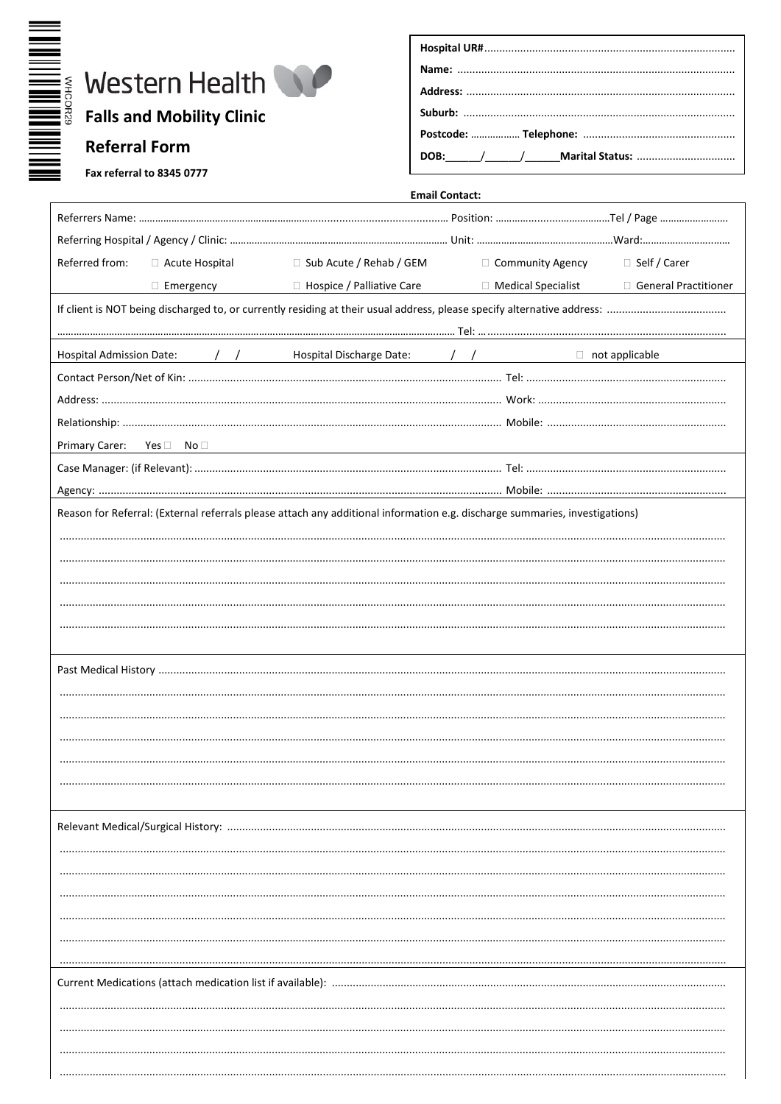

| Fax referral to 8345 0777 |  |  |
|---------------------------|--|--|
|                           |  |  |

|                                                                                                                             | <b>Email Contact:</b>       |                           |                       |  |
|-----------------------------------------------------------------------------------------------------------------------------|-----------------------------|---------------------------|-----------------------|--|
|                                                                                                                             |                             |                           |                       |  |
|                                                                                                                             |                             |                           |                       |  |
| Referred from:<br>□ Acute Hospital                                                                                          | □ Sub Acute / Rehab / GEM   | □ Community Agency        | □ Self / Carer        |  |
| $\Box$ Emergency                                                                                                            | □ Hospice / Palliative Care | $\Box$ Medical Specialist | General Practitioner  |  |
|                                                                                                                             |                             |                           |                       |  |
|                                                                                                                             |                             |                           |                       |  |
| <b>Hospital Admission Date:</b><br>$\sqrt{2}$                                                                               |                             |                           | $\Box$ not applicable |  |
|                                                                                                                             |                             |                           |                       |  |
|                                                                                                                             |                             |                           |                       |  |
|                                                                                                                             |                             |                           |                       |  |
| Primary Carer: Yes □ No □                                                                                                   |                             |                           |                       |  |
|                                                                                                                             |                             |                           |                       |  |
|                                                                                                                             |                             |                           |                       |  |
| Reason for Referral: (External referrals please attach any additional information e.g. discharge summaries, investigations) |                             |                           |                       |  |
|                                                                                                                             |                             |                           |                       |  |
|                                                                                                                             |                             |                           |                       |  |
|                                                                                                                             |                             |                           |                       |  |
|                                                                                                                             |                             |                           |                       |  |
|                                                                                                                             |                             |                           |                       |  |
|                                                                                                                             |                             |                           |                       |  |
|                                                                                                                             |                             |                           |                       |  |
|                                                                                                                             |                             |                           |                       |  |
|                                                                                                                             |                             |                           |                       |  |
|                                                                                                                             |                             |                           |                       |  |
|                                                                                                                             |                             |                           |                       |  |
|                                                                                                                             |                             |                           |                       |  |
|                                                                                                                             |                             |                           |                       |  |
|                                                                                                                             |                             |                           |                       |  |
|                                                                                                                             |                             |                           |                       |  |
|                                                                                                                             |                             |                           |                       |  |
|                                                                                                                             |                             |                           |                       |  |
|                                                                                                                             |                             |                           |                       |  |
|                                                                                                                             |                             |                           |                       |  |
|                                                                                                                             |                             |                           |                       |  |
|                                                                                                                             |                             |                           |                       |  |
|                                                                                                                             |                             |                           |                       |  |
|                                                                                                                             |                             |                           |                       |  |
|                                                                                                                             |                             |                           |                       |  |
|                                                                                                                             |                             |                           |                       |  |
|                                                                                                                             |                             |                           |                       |  |